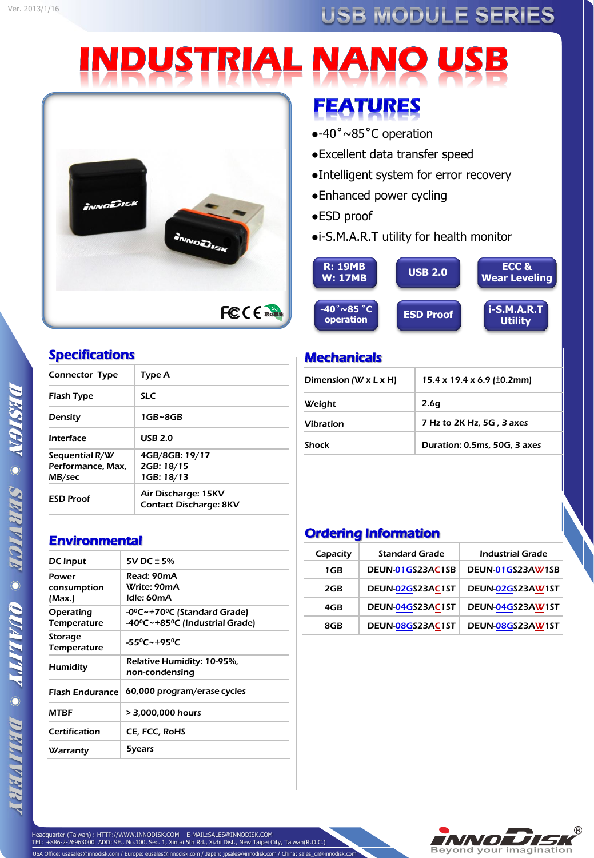## USB MODULE SERIES

# **INDUSTRIAL NANO USB**



## Specifications

| Type A                                               |
|------------------------------------------------------|
| <b>SLC</b>                                           |
| 1GB~8GB                                              |
| <b>USB 2.0</b>                                       |
| 4GB/8GB: 19/17<br>2GB: 18/15<br>1GB: 18/13           |
| Air Discharge: 15KV<br><b>Contact Discharge: 8KV</b> |
|                                                      |

# **FEATURES**

- ●-40˚~85˚C operation
- ●Excellent data transfer speed
- ●Intelligent system for error recovery
- ●Enhanced power cycling
- ●ESD proof
- ●i-S.M.A.R.T utility for health monitor

| <b>R: 19MB</b><br><b>W: 17MB</b>             | <b>USB 2.0</b>   | ECC &<br><b>Wear Leveling</b>   |
|----------------------------------------------|------------------|---------------------------------|
| $-40^{\circ} \sim 85^{\circ}$ C<br>operation | <b>ESD Proof</b> | $i-S.M.A.R.T$<br><b>Utility</b> |

## **Mechanicals**

| Dimension (W $x$ L $x$ H) | 15.4 x 19.4 x 6.9 ( $\pm$ 0.2mm) |
|---------------------------|----------------------------------|
| Weight                    | 2.6g                             |
| <b>Vibration</b>          | 7 Hz to 2K Hz, 5G, 3 axes        |
| <b>Shock</b>              | Duration: 0.5ms, 50G, 3 axes     |

## Ordering Information

| Capacity | <b>Standard Grade</b> | Industrial Grade |
|----------|-----------------------|------------------|
| 1GB      | DEUN-01GS23AC1SB      | DEUN-01GS23AW1SB |
| 2GB      | DEUN-02GS23AC1ST      | DEUN-02GS23AW1ST |
| 4GB      | DEUN-04GS23AC1ST      | DEUN-04GS23AW1ST |
| 8GB      | DEUN-08GS23AC1ST      | DEUN-08GS23AW1ST |





# DESIGN © SERVICE © QUALITI © DELIVER

# **Environmental**

| <b>DC</b> Input                | 5V DC + 5%                                                                           |
|--------------------------------|--------------------------------------------------------------------------------------|
| Power<br>consumption<br>(Max.) | Read: 90mA<br>Write: 90mA<br>Idle: 60mA                                              |
| Operating<br>Temperature       | $-0^0C$ $\sim$ +70 <sup>0</sup> C (Standard Grade)<br>-40°C~+85°C (Industrial Grade) |
| Storage<br>Temperature         | $-55^0C - +95^0C$                                                                    |
| Humidity                       | Relative Humidity: 10-95%,<br>non-condensing                                         |
| <b>Flash Endurance</b>         | 60,000 program/erase cycles                                                          |
| <b>MTRF</b>                    | > 3,000,000 hours                                                                    |
| Certification                  | CE, FCC, RoHS                                                                        |
| Warranty                       | 5years                                                                               |